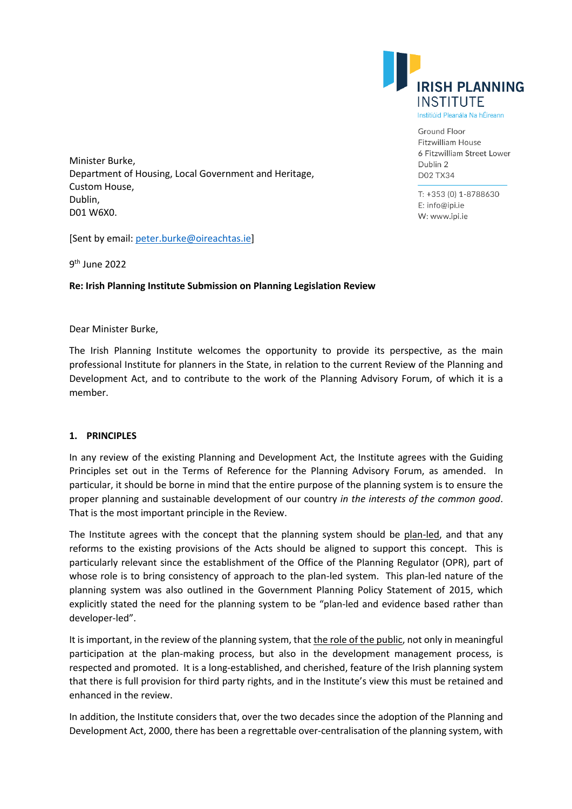

**Ground Floor** Fitzwilliam House 6 Fitzwilliam Street Lower Dublin 2 **D02 TX34** 

T: +353 (0) 1-8788630 E: info@ipi.ie W: www.ipi.ie

Minister Burke, Department of Housing, Local Government and Heritage, Custom House, Dublin, D01 W6X0.

[Sent by email: peter.burke@oireachtas.ie]

9th June 2022

**Re: Irish Planning Institute Submission on Planning Legislation Review** 

### Dear Minister Burke,

The Irish Planning Institute welcomes the opportunity to provide its perspective, as the main professional Institute for planners in the State, in relation to the current Review of the Planning and Development Act, and to contribute to the work of the Planning Advisory Forum, of which it is a member.

## **1. PRINCIPLES**

In any review of the existing Planning and Development Act, the Institute agrees with the Guiding Principles set out in the Terms of Reference for the Planning Advisory Forum, as amended. In particular, it should be borne in mind that the entire purpose of the planning system is to ensure the proper planning and sustainable development of our country *in the interests of the common good*. That is the most important principle in the Review.

The Institute agrees with the concept that the planning system should be plan-led, and that any reforms to the existing provisions of the Acts should be aligned to support this concept. This is particularly relevant since the establishment of the Office of the Planning Regulator (OPR), part of whose role is to bring consistency of approach to the plan-led system. This plan-led nature of the planning system was also outlined in the Government Planning Policy Statement of 2015, which explicitly stated the need for the planning system to be "plan-led and evidence based rather than developer-led".

It is important, in the review of the planning system, that the role of the public, not only in meaningful participation at the plan-making process, but also in the development management process, is respected and promoted. It is a long-established, and cherished, feature of the Irish planning system that there is full provision for third party rights, and in the Institute's view this must be retained and enhanced in the review.

In addition, the Institute considers that, over the two decades since the adoption of the Planning and Development Act, 2000, there has been a regrettable over-centralisation of the planning system, with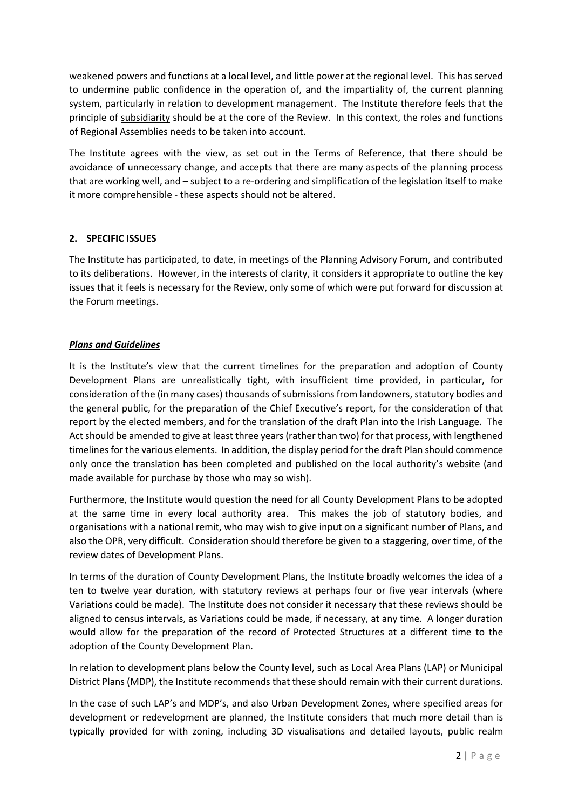weakened powers and functions at a local level, and little power at the regional level. This has served to undermine public confidence in the operation of, and the impartiality of, the current planning system, particularly in relation to development management. The Institute therefore feels that the principle of subsidiarity should be at the core of the Review. In this context, the roles and functions of Regional Assemblies needs to be taken into account.

The Institute agrees with the view, as set out in the Terms of Reference, that there should be avoidance of unnecessary change, and accepts that there are many aspects of the planning process that are working well, and – subject to a re-ordering and simplification of the legislation itself to make it more comprehensible - these aspects should not be altered.

## **2. SPECIFIC ISSUES**

The Institute has participated, to date, in meetings of the Planning Advisory Forum, and contributed to its deliberations. However, in the interests of clarity, it considers it appropriate to outline the key issues that it feels is necessary for the Review, only some of which were put forward for discussion at the Forum meetings.

## *Plans and Guidelines*

It is the Institute's view that the current timelines for the preparation and adoption of County Development Plans are unrealistically tight, with insufficient time provided, in particular, for consideration of the (in many cases) thousands of submissions from landowners, statutory bodies and the general public, for the preparation of the Chief Executive's report, for the consideration of that report by the elected members, and for the translation of the draft Plan into the Irish Language. The Act should be amended to give at least three years (rather than two) for that process, with lengthened timelines for the various elements. In addition, the display period for the draft Plan should commence only once the translation has been completed and published on the local authority's website (and made available for purchase by those who may so wish).

Furthermore, the Institute would question the need for all County Development Plans to be adopted at the same time in every local authority area. This makes the job of statutory bodies, and organisations with a national remit, who may wish to give input on a significant number of Plans, and also the OPR, very difficult. Consideration should therefore be given to a staggering, over time, of the review dates of Development Plans.

In terms of the duration of County Development Plans, the Institute broadly welcomes the idea of a ten to twelve year duration, with statutory reviews at perhaps four or five year intervals (where Variations could be made). The Institute does not consider it necessary that these reviews should be aligned to census intervals, as Variations could be made, if necessary, at any time. A longer duration would allow for the preparation of the record of Protected Structures at a different time to the adoption of the County Development Plan.

In relation to development plans below the County level, such as Local Area Plans (LAP) or Municipal District Plans (MDP), the Institute recommends that these should remain with their current durations.

In the case of such LAP's and MDP's, and also Urban Development Zones, where specified areas for development or redevelopment are planned, the Institute considers that much more detail than is typically provided for with zoning, including 3D visualisations and detailed layouts, public realm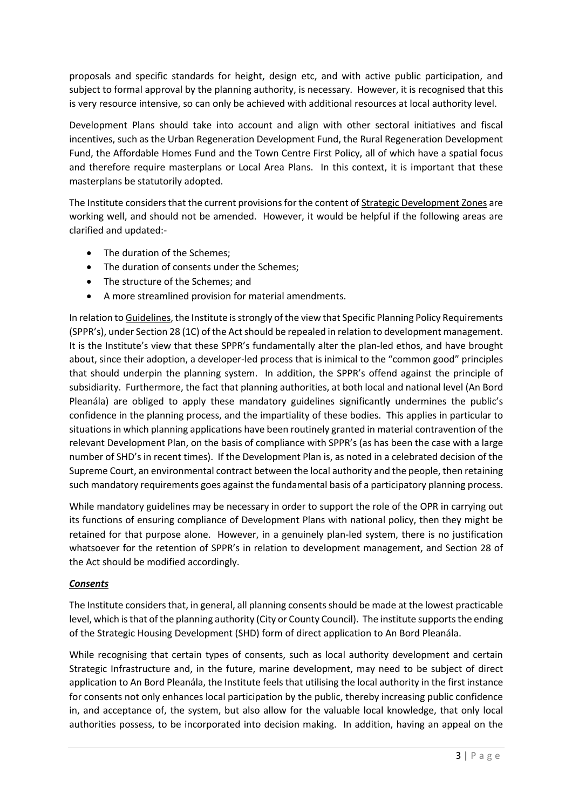proposals and specific standards for height, design etc, and with active public participation, and subject to formal approval by the planning authority, is necessary. However, it is recognised that this is very resource intensive, so can only be achieved with additional resources at local authority level.

Development Plans should take into account and align with other sectoral initiatives and fiscal incentives, such as the Urban Regeneration Development Fund, the Rural Regeneration Development Fund, the Affordable Homes Fund and the Town Centre First Policy, all of which have a spatial focus and therefore require masterplans or Local Area Plans. In this context, it is important that these masterplans be statutorily adopted.

The Institute considers that the current provisions for the content of Strategic Development Zones are working well, and should not be amended. However, it would be helpful if the following areas are clarified and updated:-

- The duration of the Schemes;
- The duration of consents under the Schemes;
- The structure of the Schemes; and
- A more streamlined provision for material amendments.

In relation to Guidelines, the Institute is strongly of the view that Specific Planning Policy Requirements (SPPR's), under Section 28 (1C) of the Act should be repealed in relation to development management. It is the Institute's view that these SPPR's fundamentally alter the plan-led ethos, and have brought about, since their adoption, a developer-led process that is inimical to the "common good" principles that should underpin the planning system. In addition, the SPPR's offend against the principle of subsidiarity. Furthermore, the fact that planning authorities, at both local and national level (An Bord Pleanála) are obliged to apply these mandatory guidelines significantly undermines the public's confidence in the planning process, and the impartiality of these bodies. This applies in particular to situations in which planning applications have been routinely granted in material contravention of the relevant Development Plan, on the basis of compliance with SPPR's (as has been the case with a large number of SHD's in recent times). If the Development Plan is, as noted in a celebrated decision of the Supreme Court, an environmental contract between the local authority and the people, then retaining such mandatory requirements goes against the fundamental basis of a participatory planning process.

While mandatory guidelines may be necessary in order to support the role of the OPR in carrying out its functions of ensuring compliance of Development Plans with national policy, then they might be retained for that purpose alone. However, in a genuinely plan-led system, there is no justification whatsoever for the retention of SPPR's in relation to development management, and Section 28 of the Act should be modified accordingly.

## *Consents*

The Institute considers that, in general, all planning consents should be made at the lowest practicable level, which is that of the planning authority (City or County Council). The institute supports the ending of the Strategic Housing Development (SHD) form of direct application to An Bord Pleanála.

While recognising that certain types of consents, such as local authority development and certain Strategic Infrastructure and, in the future, marine development, may need to be subject of direct application to An Bord Pleanála, the Institute feels that utilising the local authority in the first instance for consents not only enhances local participation by the public, thereby increasing public confidence in, and acceptance of, the system, but also allow for the valuable local knowledge, that only local authorities possess, to be incorporated into decision making. In addition, having an appeal on the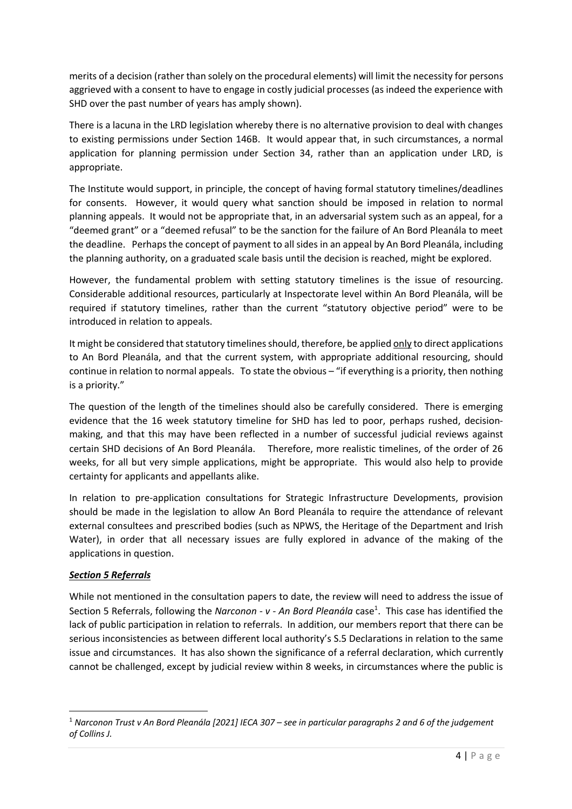merits of a decision (rather than solely on the procedural elements) will limit the necessity for persons aggrieved with a consent to have to engage in costly judicial processes (as indeed the experience with SHD over the past number of years has amply shown).

There is a lacuna in the LRD legislation whereby there is no alternative provision to deal with changes to existing permissions under Section 146B. It would appear that, in such circumstances, a normal application for planning permission under Section 34, rather than an application under LRD, is appropriate.

The Institute would support, in principle, the concept of having formal statutory timelines/deadlines for consents. However, it would query what sanction should be imposed in relation to normal planning appeals. It would not be appropriate that, in an adversarial system such as an appeal, for a "deemed grant" or a "deemed refusal" to be the sanction for the failure of An Bord Pleanála to meet the deadline. Perhaps the concept of payment to all sides in an appeal by An Bord Pleanála, including the planning authority, on a graduated scale basis until the decision is reached, might be explored.

However, the fundamental problem with setting statutory timelines is the issue of resourcing. Considerable additional resources, particularly at Inspectorate level within An Bord Pleanála, will be required if statutory timelines, rather than the current "statutory objective period" were to be introduced in relation to appeals.

It might be considered that statutory timelines should, therefore, be applied only to direct applications to An Bord Pleanála, and that the current system, with appropriate additional resourcing, should continue in relation to normal appeals. To state the obvious – "if everything is a priority, then nothing is a priority."

The question of the length of the timelines should also be carefully considered. There is emerging evidence that the 16 week statutory timeline for SHD has led to poor, perhaps rushed, decisionmaking, and that this may have been reflected in a number of successful judicial reviews against certain SHD decisions of An Bord Pleanála. Therefore, more realistic timelines, of the order of 26 weeks, for all but very simple applications, might be appropriate. This would also help to provide certainty for applicants and appellants alike.

In relation to pre-application consultations for Strategic Infrastructure Developments, provision should be made in the legislation to allow An Bord Pleanála to require the attendance of relevant external consultees and prescribed bodies (such as NPWS, the Heritage of the Department and Irish Water), in order that all necessary issues are fully explored in advance of the making of the applications in question.

## *Section 5 Referrals*

While not mentioned in the consultation papers to date, the review will need to address the issue of Section 5 Referrals, following the *Narconon - v - An Bord Pleanála* case<sup>1</sup>. This case has identified the lack of public participation in relation to referrals. In addition, our members report that there can be serious inconsistencies as between different local authority's S.5 Declarations in relation to the same issue and circumstances. It has also shown the significance of a referral declaration, which currently cannot be challenged, except by judicial review within 8 weeks, in circumstances where the public is

<sup>1</sup> *Narconon Trust v An Bord Pleanála [2021] IECA 307 – see in particular paragraphs 2 and 6 of the judgement of Collins J.*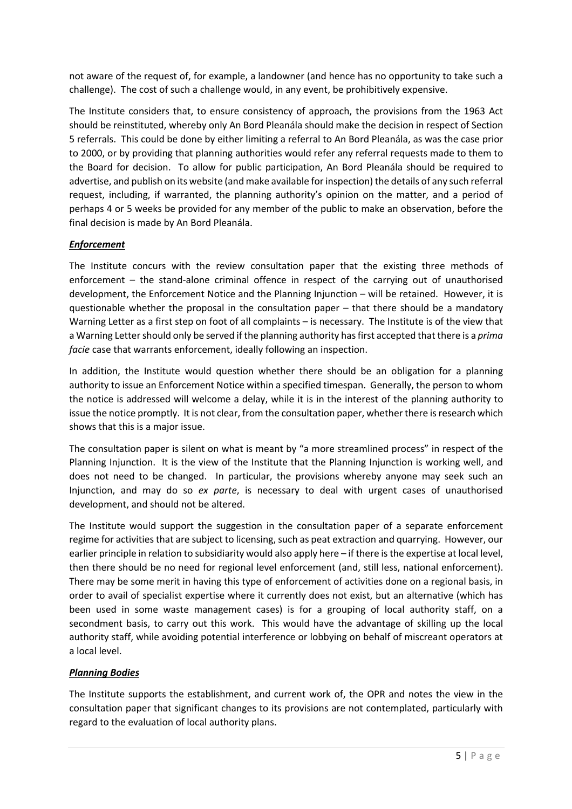not aware of the request of, for example, a landowner (and hence has no opportunity to take such a challenge). The cost of such a challenge would, in any event, be prohibitively expensive.

The Institute considers that, to ensure consistency of approach, the provisions from the 1963 Act should be reinstituted, whereby only An Bord Pleanála should make the decision in respect of Section 5 referrals. This could be done by either limiting a referral to An Bord Pleanála, as was the case prior to 2000, or by providing that planning authorities would refer any referral requests made to them to the Board for decision. To allow for public participation, An Bord Pleanála should be required to advertise, and publish on its website (and make available for inspection) the details of any such referral request, including, if warranted, the planning authority's opinion on the matter, and a period of perhaps 4 or 5 weeks be provided for any member of the public to make an observation, before the final decision is made by An Bord Pleanála.

## *Enforcement*

The Institute concurs with the review consultation paper that the existing three methods of enforcement – the stand-alone criminal offence in respect of the carrying out of unauthorised development, the Enforcement Notice and the Planning Injunction – will be retained. However, it is questionable whether the proposal in the consultation paper – that there should be a mandatory Warning Letter as a first step on foot of all complaints – is necessary. The Institute is of the view that a Warning Letter should only be served if the planning authority has first accepted that there is a *prima facie* case that warrants enforcement, ideally following an inspection.

In addition, the Institute would question whether there should be an obligation for a planning authority to issue an Enforcement Notice within a specified timespan. Generally, the person to whom the notice is addressed will welcome a delay, while it is in the interest of the planning authority to issue the notice promptly. It is not clear, from the consultation paper, whether there is research which shows that this is a major issue.

The consultation paper is silent on what is meant by "a more streamlined process" in respect of the Planning Injunction. It is the view of the Institute that the Planning Injunction is working well, and does not need to be changed. In particular, the provisions whereby anyone may seek such an Injunction, and may do so *ex parte*, is necessary to deal with urgent cases of unauthorised development, and should not be altered.

The Institute would support the suggestion in the consultation paper of a separate enforcement regime for activities that are subject to licensing, such as peat extraction and quarrying. However, our earlier principle in relation to subsidiarity would also apply here – if there is the expertise at local level, then there should be no need for regional level enforcement (and, still less, national enforcement). There may be some merit in having this type of enforcement of activities done on a regional basis, in order to avail of specialist expertise where it currently does not exist, but an alternative (which has been used in some waste management cases) is for a grouping of local authority staff, on a secondment basis, to carry out this work. This would have the advantage of skilling up the local authority staff, while avoiding potential interference or lobbying on behalf of miscreant operators at a local level.

## *Planning Bodies*

The Institute supports the establishment, and current work of, the OPR and notes the view in the consultation paper that significant changes to its provisions are not contemplated, particularly with regard to the evaluation of local authority plans.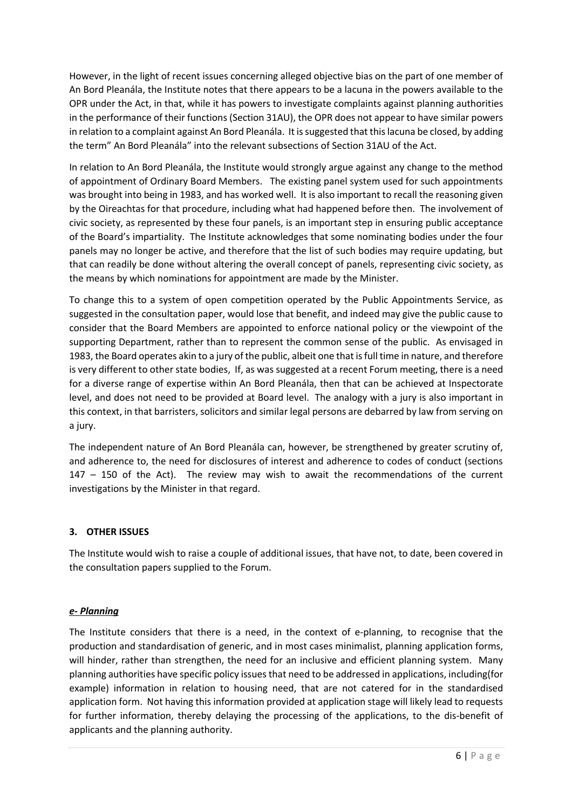However, in the light of recent issues concerning alleged objective bias on the part of one member of An Bord Pleanála, the Institute notes that there appears to be a lacuna in the powers available to the OPR under the Act, in that, while it has powers to investigate complaints against planning authorities in the performance of their functions (Section 31AU), the OPR does not appear to have similar powers in relation to a complaint against An Bord Pleanála. It is suggested that this lacuna be closed, by adding the term" An Bord Pleanála" into the relevant subsections of Section 31AU of the Act.

In relation to An Bord Pleanála, the Institute would strongly argue against any change to the method of appointment of Ordinary Board Members. The existing panel system used for such appointments was brought into being in 1983, and has worked well. It is also important to recall the reasoning given by the Oireachtas for that procedure, including what had happened before then. The involvement of civic society, as represented by these four panels, is an important step in ensuring public acceptance of the Board's impartiality. The Institute acknowledges that some nominating bodies under the four panels may no longer be active, and therefore that the list of such bodies may require updating, but that can readily be done without altering the overall concept of panels, representing civic society, as the means by which nominations for appointment are made by the Minister.

To change this to a system of open competition operated by the Public Appointments Service, as suggested in the consultation paper, would lose that benefit, and indeed may give the public cause to consider that the Board Members are appointed to enforce national policy or the viewpoint of the supporting Department, rather than to represent the common sense of the public. As envisaged in 1983, the Board operates akin to a jury of the public, albeit one that is full time in nature, and therefore is very different to other state bodies, If, as was suggested at a recent Forum meeting, there is a need for a diverse range of expertise within An Bord Pleanála, then that can be achieved at Inspectorate level, and does not need to be provided at Board level. The analogy with a jury is also important in this context, in that barristers, solicitors and similar legal persons are debarred by law from serving on a jury.

The independent nature of An Bord Pleanála can, however, be strengthened by greater scrutiny of, and adherence to, the need for disclosures of interest and adherence to codes of conduct (sections 147 – 150 of the Act). The review may wish to await the recommendations of the current investigations by the Minister in that regard.

# **3. OTHER ISSUES**

The Institute would wish to raise a couple of additional issues, that have not, to date, been covered in the consultation papers supplied to the Forum.

## *e- Planning*

The Institute considers that there is a need, in the context of e-planning, to recognise that the production and standardisation of generic, and in most cases minimalist, planning application forms, will hinder, rather than strengthen, the need for an inclusive and efficient planning system. Many planning authorities have specific policy issues that need to be addressed in applications, including(for example) information in relation to housing need, that are not catered for in the standardised application form. Not having this information provided at application stage will likely lead to requests for further information, thereby delaying the processing of the applications, to the dis-benefit of applicants and the planning authority.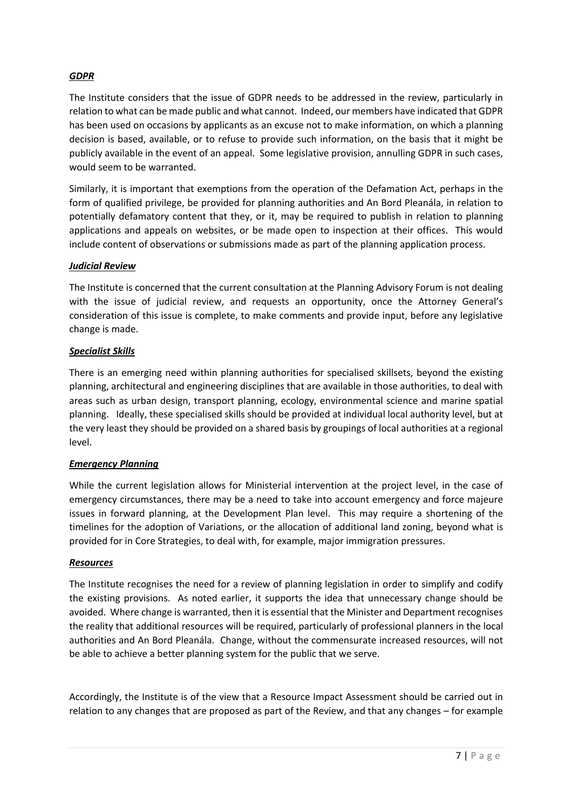# *GDPR*

The Institute considers that the issue of GDPR needs to be addressed in the review, particularly in relation to what can be made public and what cannot. Indeed, our members have indicated that GDPR has been used on occasions by applicants as an excuse not to make information, on which a planning decision is based, available, or to refuse to provide such information, on the basis that it might be publicly available in the event of an appeal. Some legislative provision, annulling GDPR in such cases, would seem to be warranted.

Similarly, it is important that exemptions from the operation of the Defamation Act, perhaps in the form of qualified privilege, be provided for planning authorities and An Bord Pleanála, in relation to potentially defamatory content that they, or it, may be required to publish in relation to planning applications and appeals on websites, or be made open to inspection at their offices. This would include content of observations or submissions made as part of the planning application process.

## *Judicial Review*

The Institute is concerned that the current consultation at the Planning Advisory Forum is not dealing with the issue of judicial review, and requests an opportunity, once the Attorney General's consideration of this issue is complete, to make comments and provide input, before any legislative change is made.

## *Specialist Skills*

There is an emerging need within planning authorities for specialised skillsets, beyond the existing planning, architectural and engineering disciplines that are available in those authorities, to deal with areas such as urban design, transport planning, ecology, environmental science and marine spatial planning. Ideally, these specialised skills should be provided at individual local authority level, but at the very least they should be provided on a shared basis by groupings of local authorities at a regional level.

## *Emergency Planning*

While the current legislation allows for Ministerial intervention at the project level, in the case of emergency circumstances, there may be a need to take into account emergency and force majeure issues in forward planning, at the Development Plan level. This may require a shortening of the timelines for the adoption of Variations, or the allocation of additional land zoning, beyond what is provided for in Core Strategies, to deal with, for example, major immigration pressures.

### *Resources*

The Institute recognises the need for a review of planning legislation in order to simplify and codify the existing provisions. As noted earlier, it supports the idea that unnecessary change should be avoided. Where change is warranted, then it is essential that the Minister and Department recognises the reality that additional resources will be required, particularly of professional planners in the local authorities and An Bord Pleanála. Change, without the commensurate increased resources, will not be able to achieve a better planning system for the public that we serve.

Accordingly, the Institute is of the view that a Resource Impact Assessment should be carried out in relation to any changes that are proposed as part of the Review, and that any changes – for example